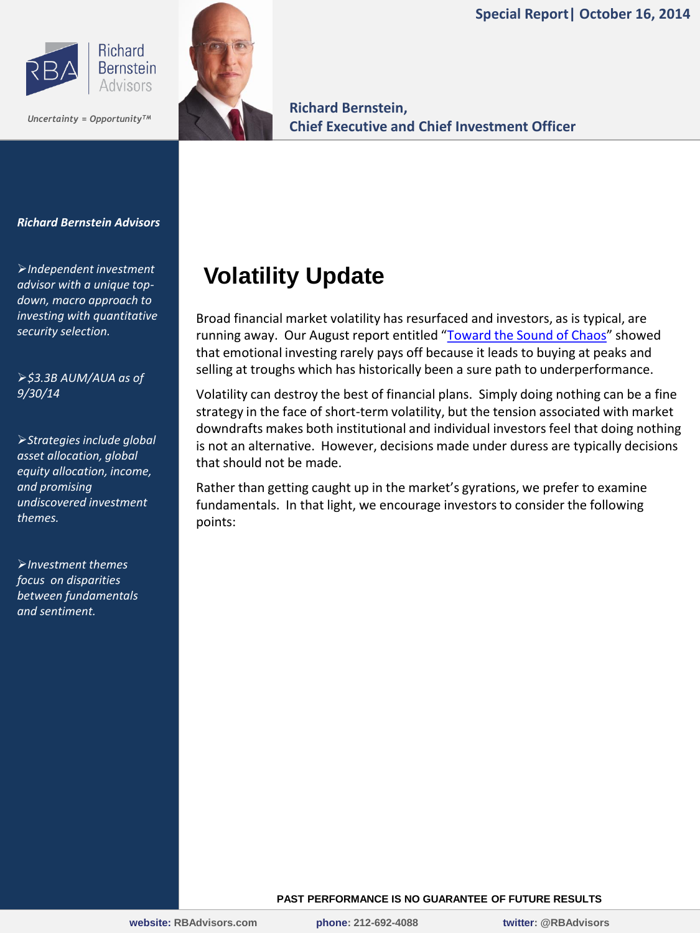**Special Report| October 16, 2014**





**Richard Bernstein, Chief Executive and Chief Investment Officer** *Uncertainty = OpportunityTM*

#### *Richard Bernstein Advisors*

*Independent investment advisor with a unique topdown, macro approach to investing with quantitative security selection.*

*\$3.3B AUM/AUA as of 9/30/14*

*Strategies include global asset allocation, global equity allocation, income, and promising undiscovered investment themes.*

*Investment themes focus on disparities between fundamentals and sentiment.*

# **Volatility Update**

Broad financial market volatility has resurfaced and investors, as is typical, are running away. Our August report entitled "[Toward the Sound of Chaos](http://rbadvisors.com/images/pdfs/toward_the_sounds_of_chaos.pdf)" showed that emotional investing rarely pays off because it leads to buying at peaks and selling at troughs which has historically been a sure path to underperformance.

Volatility can destroy the best of financial plans. Simply doing nothing can be a fine strategy in the face of short-term volatility, but the tension associated with market downdrafts makes both institutional and individual investors feel that doing nothing is not an alternative. However, decisions made under duress are typically decisions that should not be made.

Rather than getting caught up in the market's gyrations, we prefer to examine fundamentals. In that light, we encourage investors to consider the following points:

#### **PAST PERFORMANCE IS NO GUARANTEE OF FUTURE RESULTS**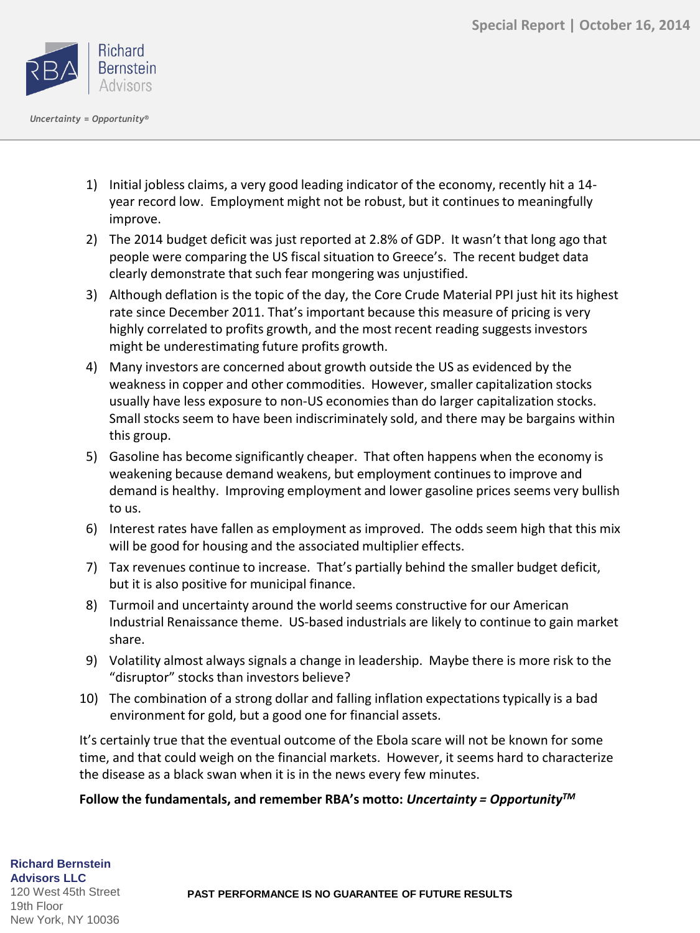

- 1) Initial jobless claims, a very good leading indicator of the economy, recently hit a 14 year record low. Employment might not be robust, but it continues to meaningfully improve.
- 2) The 2014 budget deficit was just reported at 2.8% of GDP. It wasn't that long ago that people were comparing the US fiscal situation to Greece's. The recent budget data clearly demonstrate that such fear mongering was unjustified.
- 3) Although deflation is the topic of the day, the Core Crude Material PPI just hit its highest rate since December 2011. That's important because this measure of pricing is very highly correlated to profits growth, and the most recent reading suggests investors might be underestimating future profits growth.
- 4) Many investors are concerned about growth outside the US as evidenced by the weakness in copper and other commodities. However, smaller capitalization stocks usually have less exposure to non-US economies than do larger capitalization stocks. Small stocks seem to have been indiscriminately sold, and there may be bargains within this group.
- 5) Gasoline has become significantly cheaper. That often happens when the economy is weakening because demand weakens, but employment continues to improve and demand is healthy. Improving employment and lower gasoline prices seems very bullish to us.
- 6) Interest rates have fallen as employment as improved. The odds seem high that this mix will be good for housing and the associated multiplier effects.
- 7) Tax revenues continue to increase. That's partially behind the smaller budget deficit, but it is also positive for municipal finance.
- 8) Turmoil and uncertainty around the world seems constructive for our American Industrial Renaissance theme. US-based industrials are likely to continue to gain market share.
- 9) Volatility almost always signals a change in leadership. Maybe there is more risk to the "disruptor" stocks than investors believe?
- 10) The combination of a strong dollar and falling inflation expectations typically is a bad environment for gold, but a good one for financial assets.

It's certainly true that the eventual outcome of the Ebola scare will not be known for some time, and that could weigh on the financial markets. However, it seems hard to characterize the disease as a black swan when it is in the news every few minutes.

## **Follow the fundamentals, and remember RBA's motto:** *Uncertainty = OpportunityTM*